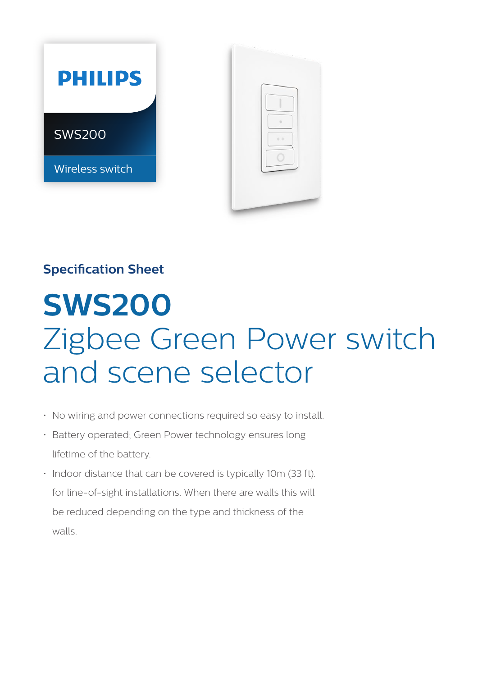



## **Specification Sheet**

# **SWS200**  Zigbee Green Power switch and scene selector

- No wiring and power connections required so easy to install.
- Battery operated; Green Power technology ensures long lifetime of the battery.
- Indoor distance that can be covered is typically 10m (33 ft). for line-of-sight installations. When there are walls this will be reduced depending on the type and thickness of the walls.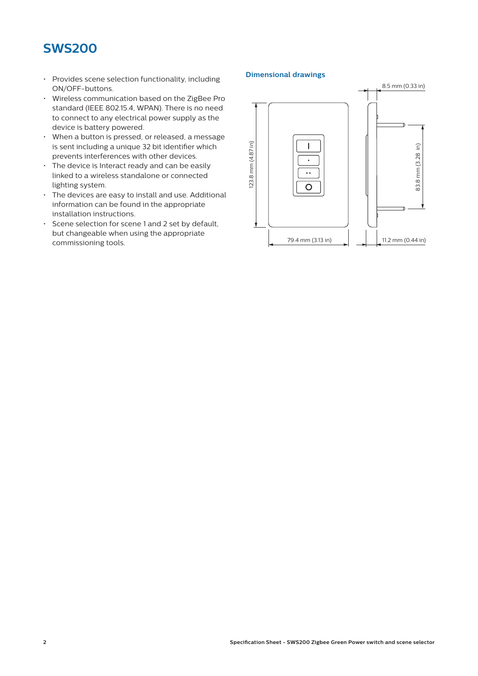### **SWS200**

- Provides scene selection functionality, including ON/OFF-buttons.
- Wireless communication based on the ZigBee Pro standard (IEEE 802.15.4, WPAN). There is no need to connect to any electrical power supply as the device is battery powered.
- When a button is pressed, or released, a message is sent including a unique 32 bit identifier which prevents interferences with other devices.
- $\cdot$  The device is Interact ready and can be easily linked to a wireless standalone or connected lighting system.
- The devices are easy to install and use. Additional information can be found in the appropriate installation instructions.
- Scene selection for scene 1 and 2 set by default, but changeable when using the appropriate commissioning tools.

#### **Dimensional drawings**